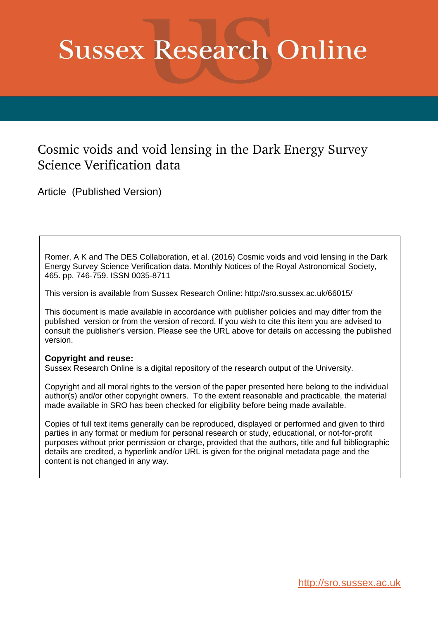# **Sussex Research Online**

# Cosmic voids and void lensing in the Dark Energy Survey Science Verification data

Article (Published Version)

Romer, A K and The DES Collaboration, et al. (2016) Cosmic voids and void lensing in the Dark Energy Survey Science Verification data. Monthly Notices of the Royal Astronomical Society, 465. pp. 746-759. ISSN 0035-8711

This version is available from Sussex Research Online: http://sro.sussex.ac.uk/66015/

This document is made available in accordance with publisher policies and may differ from the published version or from the version of record. If you wish to cite this item you are advised to consult the publisher's version. Please see the URL above for details on accessing the published version.

# **Copyright and reuse:**

Sussex Research Online is a digital repository of the research output of the University.

Copyright and all moral rights to the version of the paper presented here belong to the individual author(s) and/or other copyright owners. To the extent reasonable and practicable, the material made available in SRO has been checked for eligibility before being made available.

<span id="page-0-0"></span>Copies of full text items generally can be reproduced, displayed or performed and given to third parties in any format or medium for personal research or study, educational, or not-for-profit purposes without prior permission or charge, provided that the authors, title and full bibliographic details are credited, a hyperlink and/or URL is given for the original metadata page and the content is not changed in any way.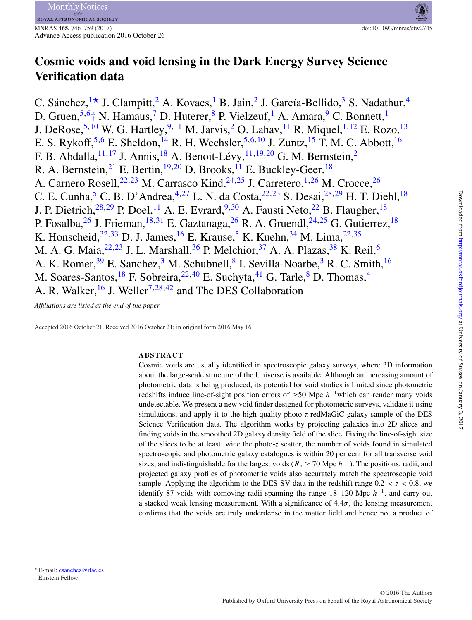# **Cosmic voids and void lensing in the Dark Energy Survey Science Verification data**

C. Sánchez,  $1\star$  $1\star$  J. Clampitt, <sup>[2](#page-13-1)</sup> A. Kovacs, <sup>1</sup> B. Jain, <sup>2</sup> J. García-Bellido, <sup>[3](#page-13-2)</sup> S. Nadathur, <sup>[4](#page-13-3)</sup> D. Gruen,<sup>[5,](#page-13-4)6</sup>[†](#page-13-5) N. Hamaus,<sup>[7](#page-13-6)</sup> D. Huterer,<sup>[8](#page-13-7)</sup> P. Vielzeuf,<sup>[1](#page-13-0)</sup> A. Amara,<sup>[9](#page-13-8)</sup> C. Bonnett,<sup>1</sup> J. DeRose,  $^{5,10}$  $^{5,10}$  $^{5,10}$  $^{5,10}$  W. G. Hartley,  $^{9,11}$  $^{9,11}$  $^{9,11}$  $^{9,11}$  M. Jarvis,  $^2$  $^2$  O. Lahav,  $^{11}$  R. Miquel,  $^{1,12}$  $^{1,12}$  $^{1,12}$  $^{1,12}$  E. Rozo,  $^{13}$  $^{13}$  $^{13}$ E. S. Rykoff,  $5.6$  $5.6$  E. Sheldon,  $^{14}$  $^{14}$  $^{14}$  R. H. Wechsler,  $5.6,10$  $5.6,10$  J. Zuntz,  $^{15}$  $^{15}$  $^{15}$  T. M. C. Abbott,  $^{16}$  $^{16}$  $^{16}$ F. B. Abdalla,  $^{11,17}$  $^{11,17}$  $^{11,17}$  $^{11,17}$  J. Annis,  $^{18}$  $^{18}$  $^{18}$  A. Benoit-Lévy,  $^{11,19,20}$  $^{11,19,20}$  $^{11,19,20}$  $^{11,19,20}$  G. M. Bernstein,  $^2$  $^2$ R. A. Bernstein, <sup>[21](#page-13-20)</sup> E. Bertin, <sup>[19](#page-13-18), 20</sup> D. Brooks, <sup>[11](#page-13-10)</sup> E. Buckley-Geer, <sup>[18](#page-13-17)</sup> A. Carnero Rosell,<sup>[22,](#page-13-21)[23](#page-13-22)</sup> M. Carrasco Kind,<sup>[24,](#page-13-23)[25](#page-13-24)</sup> J. Carretero,<sup>[1,](#page-13-0)[26](#page-13-25)</sup> M. Crocce,<sup>26</sup> C. E. Cunha,  $^5$  $^5$  C. B. D'Andrea,  $^{4,27}$  $^{4,27}$  $^{4,27}$  $^{4,27}$  L. N. da Costa,  $^{22,23}$  $^{22,23}$  $^{22,23}$  $^{22,23}$  S. Desai,  $^{28,29}$  $^{28,29}$  $^{28,29}$  $^{28,29}$  H. T. Diehl,  $^{18}$  $^{18}$  $^{18}$ J. P. Dietrich,  $^{28,29}$  $^{28,29}$  $^{28,29}$  $^{28,29}$  P. Doel, <sup>[11](#page-13-10)</sup> A. E. Evrard,  $^{9,30}$  $^{9,30}$  $^{9,30}$  $^{9,30}$  A. Fausti Neto,  $^{22}$  $^{22}$  $^{22}$  B. Flaugher,  $^{18}$  $^{18}$  $^{18}$ P. Fosalba,  $^{26}$  $^{26}$  $^{26}$  J. Frieman,  $^{18,31}$  $^{18,31}$  $^{18,31}$  $^{18,31}$  E. Gaztanaga,  $^{26}$  R. A. Gruendl,  $^{24,25}$  $^{24,25}$  $^{24,25}$  $^{24,25}$  G. Gutierrez,  $^{18}$  $^{18}$  $^{18}$ K. Honscheid,  $32,33$  $32,33$  D. J. James,  $16$  E. Krause,  $5$  K. Kuehn,  $34$  M. Lima,  $22,35$  $22,35$ M. A. G. Maia,  $^{22,23}$  $^{22,23}$  $^{22,23}$  $^{22,23}$  J. L. Marshall,  $^{36}$  $^{36}$  $^{36}$  P. Melchior,  $^{37}$  $^{37}$  $^{37}$  A. A. Plazas,  $^{38}$  $^{38}$  $^{38}$  K. Reil,  $^{6}$  $^{6}$  $^{6}$ A. K. Romer,<sup>[39](#page-13-38)</sup> E. Sanchez,<sup>[3](#page-13-2)</sup> M. Schubnell,<sup>[8](#page-13-7)</sup> I. Sevilla-Noarbe,<sup>3</sup> R. C. Smith,<sup>[16](#page-13-15)</sup> M. Soares-Santos,<sup>[18](#page-13-17)</sup> F. Sobreira,<sup>[22,](#page-13-21)[40](#page-13-39)</sup> E. Suchyta,<sup>[41](#page-13-40)</sup> G. Tarle,<sup>[8](#page-13-7)</sup> D. Thomas,<sup>[4](#page-13-3)</sup> A. R. Walker,  $^{16}$  $^{16}$  $^{16}$  J. Weller<sup>[7,](#page-13-6)[28,](#page-13-27)[42](#page-13-41)</sup> and The DES Collaboration

*Affiliations are listed at the end of the paper*

Accepted 2016 October 21. Received 2016 October 21; in original form 2016 May 16

# **ABSTRACT**

Cosmic voids are usually identified in spectroscopic galaxy surveys, where 3D information about the large-scale structure of the Universe is available. Although an increasing amount of photometric data is being produced, its potential for void studies is limited since photometric redshifts induce line-of-sight position errors of  $\geq$ 50 Mpc  $h^{-1}$ which can render many voids undetectable. We present a new void finder designed for photometric surveys, validate it using simulations, and apply it to the high-quality photo-*z* redMaGiC galaxy sample of the DES Science Verification data. The algorithm works by projecting galaxies into 2D slices and finding voids in the smoothed 2D galaxy density field of the slice. Fixing the line-of-sight size of the slices to be at least twice the photo-*z* scatter, the number of voids found in simulated spectroscopic and photometric galaxy catalogues is within 20 per cent for all transverse void sizes, and indistinguishable for the largest voids ( $R_v \ge 70$  Mpc  $h^{-1}$ ). The positions, radii, and projected galaxy profiles of photometric voids also accurately match the spectroscopic void sample. Applying the algorithm to the DES-SV data in the redshift range  $0.2 < z < 0.8$ , we identify 87 voids with comoving radii spanning the range  $18-120$  Mpc  $h^{-1}$ , and carry out a stacked weak lensing measurement. With a significance of  $4.4\sigma$ , the lensing measurement confirms that the voids are truly underdense in the matter field and hence not a product of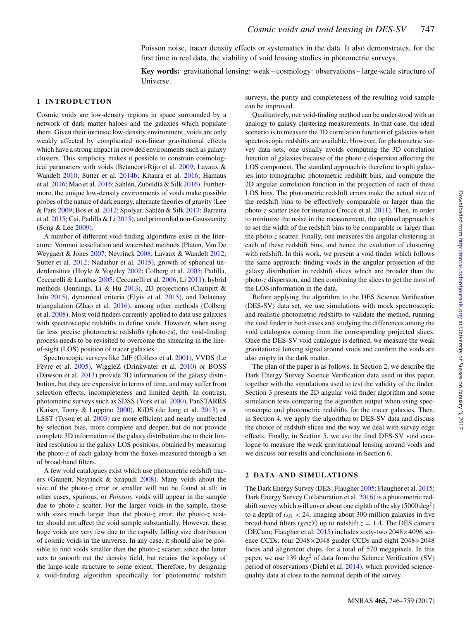Poisson noise, tracer density effects or systematics in the data. It also demonstrates, for the first time in real data, the viability of void lensing studies in photometric surveys.

**Key words:** gravitational lensing: weak – cosmology: observations – large-scale structure of Universe.

# **1 INTRODUCTION**

Cosmic voids are low-density regions in space surrounded by a network of dark matter haloes and the galaxies which populate them. Given their intrinsic low-density environment, voids are only weakly affected by complicated non-linear gravitational effects which have a strong impact in crowded environments such as galaxy clusters. This simplicity makes it possible to constrain cosmological parameters with voids (Betancort-Rijo et al. [2009;](#page-11-0) Lavaux & Wandelt [2010;](#page-11-1) Sutter et al. [2014b;](#page-11-2) Kitaura et al. [2016;](#page-11-3) Hamaus et al.  $2016$ ; Mao et al.  $2016$ ; Sahlén, Zubeldía & Silk  $2016$ ). Furthermore, the unique low-density environments of voids make possible probes of the nature of dark energy, alternate theories of gravity (Lee & Park [2009;](#page-11-7) Bos et al. [2012;](#page-11-8) Spolyar, Sahlén & Silk [2013;](#page-11-9) Barreira et al. [2015;](#page-11-10) Cai, Padilla & Li [2015\)](#page-11-11), and primordial non-Gaussianity (Song & Lee [2009\)](#page-11-12).

A number of different void-finding algorithms exist in the literature: Voronoi tessellation and watershed methods (Platen, Van De Weygaert & Jones [2007;](#page-11-13) Neyrinck [2008;](#page-11-14) Lavaux & Wandelt [2012;](#page-11-15) Sutter et al. [2012;](#page-11-16) Nadathur et al. [2015\)](#page-11-17), growth of spherical underdensities (Hoyle & Vogeley [2002;](#page-11-18) Colberg et al. [2005;](#page-11-19) Padilla, Ceccarelli & Lambas [2005;](#page-11-20) Ceccarelli et al. [2006;](#page-11-21) Li [2011\)](#page-11-22), hybrid methods (Jennings, Li & Hu [2013\)](#page-11-23), 2D projections (Clampitt & Jain [2015\)](#page-11-24), dynamical criteria (Elyiv et al. [2015\)](#page-11-25), and Delaunay triangulation (Zhao et al. [2016\)](#page-11-26), among other methods (Colberg et al. [2008\)](#page-11-27). Most void finders currently applied to data use galaxies with spectroscopic redshifts to define voids. However, when using far less precise photometric redshifts (photo-*z*s), the void-finding process needs to be revisited to overcome the smearing in the lineof-sight (LOS) position of tracer galaxies.

Spectroscopic surveys like 2dF (Colless et al. [2001\)](#page-11-28), VVDS (Le Fèvre et al. [2005\)](#page-11-29), WiggleZ (Drinkwater et al. [2010\)](#page-11-30) or BOSS (Dawson et al. [2013\)](#page-11-31) provide 3D information of the galaxy distribution, but they are expensive in terms of time, and may suffer from selection effects, incompleteness and limited depth. In contrast, photometric surveys such as SDSS (York et al. [2000\)](#page-11-32), PanSTARRS (Kaiser, Tonry & Luppino [2000\)](#page-11-33), KiDS (de Jong et al. [2013\)](#page-11-34) or LSST (Tyson et al. [2003\)](#page-11-35) are more efficient and nearly unaffected by selection bias, more complete and deeper, but do not provide complete 3D information of the galaxy distribution due to their limited resolution in the galaxy LOS positions, obtained by measuring the photo-*z* of each galaxy from the fluxes measured through a set of broad-band filters.

A few void catalogues exist which use photometric redshift tracers (Granett, Neyrinck & Szapudi [2008\)](#page-11-36). Many voids about the size of the photo-*z* error or smaller will not be found at all; in other cases, spurious, or *Poisson*, voids will appear in the sample due to photo-*z* scatter. For the larger voids in the sample, those with sizes much larger than the photo-*z* error, the photo-*z* scatter should not affect the void sample substantially. However, these huge voids are very few due to the rapidly falling size distribution of cosmic voids in the universe. In any case, it should also be possible to find voids smaller than the photo-*z* scatter, since the latter acts to smooth out the density field, but retains the topology of the large-scale structure to some extent. Therefore, by designing a void-finding algorithm specifically for photometric redshift

surveys, the purity and completeness of the resulting void sample can be improved.

Qualitatively, our void-finding method can be understood with an analogy to galaxy clustering measurements. In that case, the ideal scenario is to measure the 3D correlation function of galaxies when spectroscopic redshifts are available. However, for photometric survey data sets, one usually avoids computing the 3D correlation function of galaxies because of the photo-*z* dispersion affecting the LOS component. The standard approach is therefore to split galaxies into tomographic photometric redshift bins, and compute the 2D angular correlation function in the projection of each of these LOS bins. The photometric redshift errors make the actual size of the redshift bins to be effectively comparable or larger than the photo-*z* scatter (see for instance Crocce et al. [2011\)](#page-11-37). Then, in order to minimize the noise in the measurement, the optimal approach is to set the width of the redshift bins to be comparable or larger than the photo-*z* scatter. Finally, one measures the angular clustering in each of these redshift bins, and hence the evolution of clustering with redshift. In this work, we present a void finder which follows the same approach: finding voids in the angular projection of the galaxy distribution in redshift slices which are broader than the photo-*z* dispersion, and then combining the slices to get the most of the LOS information in the data.

Before applying the algorithm to the DES Science Verification (DES-SV) data set, we use simulations with mock spectroscopic and realistic photometric redshifts to validate the method, running the void finder in both cases and studying the differences among the void catalogues coming from the corresponding projected slices. Once the DES-SV void catalogue is defined, we measure the weak gravitational lensing signal around voids and confirm the voids are also empty in the dark matter.

The plan of the paper is as follows. In Section 2, we describe the Dark Energy Survey Science Verification data used in this paper, together with the simulations used to test the validity of the finder. Section 3 presents the 2D angular void finder algorithm and some simulation tests comparing the algorithm output when using spectroscopic and photometric redshifts for the tracer galaxies. Then, in Section 4, we apply the algorithm to DES-SV data and discuss the choice of redshift slices and the way we deal with survey edge effects. Finally, in Section 5, we use the final DES-SV void catalogue to measure the weak gravitational lensing around voids and we discuss our results and conclusions in Section 6.

#### **2 DATA AND SIMULATIONS**

The Dark Energy Survey (DES; Flaugher [2005;](#page-11-38) Flaugher et al. [2015;](#page-11-39) Dark Energy Survey Collaboration et al. [2016\)](#page-11-40) is a photometric redshift survey which will cover about one eighth of the sky  $(5000 \deg^2)$ to a depth of  $i_{AB}$  < 24, imaging about 300 million galaxies in five broad-band filters ( $grizY$ ) up to redshift  $z = 1.4$ . The DES camera (DECam; Flaugher et al. [2015\)](#page-11-39) includes sixty-two 2048×4096 science CCDs, four 2048×2048 guider CCDs and eight 2048×2048 focus and alignment chips, for a total of 570 megapixels. In this paper, we use 139 deg<sup>2</sup> of data from the Science Verification (SV) period of observations (Diehl et al. [2014\)](#page-11-41), which provided sciencequality data at close to the nominal depth of the survey.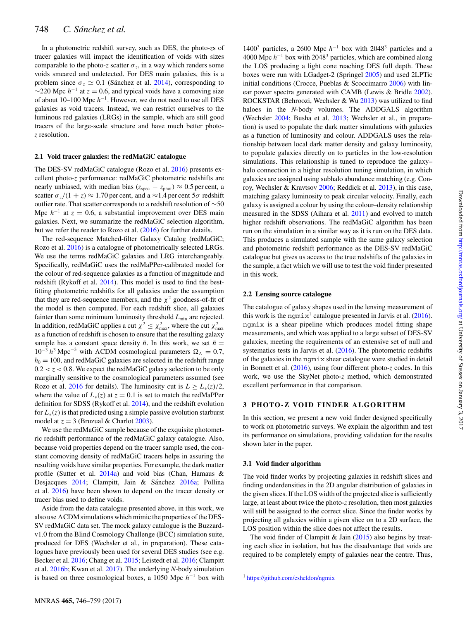<span id="page-3-0"></span>In a photometric redshift survey, such as DES, the photo-*z*s of tracer galaxies will impact the identification of voids with sizes comparable to the photo-*z* scatter  $\sigma_z$ , in a way which renders some voids smeared and undetected. For DES main galaxies, this is a problem since  $\sigma_z \simeq 0.1$  (Sánchez et al. [2014\)](#page-11-42), corresponding to  $\sim$ 220 Mpc  $h^{-1}$  at  $z = 0.6$ , and typical voids have a comoving size of about 10–100 Mpc *h*<sup>−1</sup>. However, we do not need to use all DES galaxies as void tracers. Instead, we can restrict ourselves to the luminous red galaxies (LRGs) in the sample, which are still good tracers of the large-scale structure and have much better photo*z* resolution.

### **2.1 Void tracer galaxies: the redMaGiC catalogue**

The DES-SV redMaGiC catalogue (Rozo et al. [2016\)](#page-11-43) presents excellent photo-*z* performance: redMaGiC photometric redshifts are nearly unbiased, with median bias ( $z_{\text{spec}} - z_{\text{phot}}$ )  $\approx 0.5$  per cent, a scatter  $\sigma$ <sub>*z*</sub>/(1 + *z*)  $\approx$  1.70 per cent, and a  $\approx$  1.4 per cent 5 $\sigma$  redshift outlier rate. That scatter corresponds to a redshift resolution of ∼50 Mpc  $h^{-1}$  at  $z = 0.6$ , a substantial improvement over DES main galaxies. Next, we summarize the redMaGiC selection algorithm, but we refer the reader to Rozo et al. [\(2016\)](#page-11-43) for further details.

The red-sequence Matched-filter Galaxy Catalog (redMaGiC; Rozo et al. [2016\)](#page-11-43) is a catalogue of photometrically selected LRGs. We use the terms redMaGiC galaxies and LRG interchangeably. Specifically, redMaGiC uses the redMaPPer-calibrated model for the colour of red-sequence galaxies as a function of magnitude and redshift (Rykoff et al. [2014\)](#page-11-44). This model is used to find the bestfitting photometric redshifts for all galaxies under the assumption that they are red-sequence members, and the  $\chi^2$  goodness-of-fit of the model is then computed. For each redshift slice, all galaxies fainter than some minimum luminosity threshold  $L_{\text{min}}$  are rejected. In addition, redMaGiC applies a cut  $\chi^2 \leq \chi^2_{\text{max}}$ , where the cut  $\chi^2_{\text{max}}$ as a function of redshift is chosen to ensure that the resulting galaxy sample has a constant space density  $\bar{n}$ . In this work, we set  $\bar{n} =$  $10^{-3} h^3$  Mpc<sup>-3</sup> with ΛCDM cosmological parameters Ω<sub>Λ</sub> = 0.7,  $h_0 = 100$ , and redMaGiC galaxies are selected in the redshift range  $0.2 < z < 0.8$ . We expect the redMaGiC galaxy selection to be only marginally sensitive to the cosmological parameters assumed (see Rozo et al. [2016](#page-11-43) for details). The luminosity cut is  $L > L_*(z)/2$ , where the value of  $L_*(z)$  at  $z = 0.1$  is set to match the redMaPPer definition for SDSS (Rykoff et al. [2014\)](#page-11-44), and the redshift evolution for  $L_*(z)$  is that predicted using a simple passive evolution starburst model at  $z = 3$  (Bruzual & Charlot [2003\)](#page-11-45).

We use the redMaGiC sample because of the exquisite photometric redshift performance of the redMaGiC galaxy catalogue. Also, because void properties depend on the tracer sample used, the constant comoving density of redMaGiC tracers helps in assuring the resulting voids have similar properties. For example, the dark matter profile (Sutter et al. [2014a\)](#page-11-46) and void bias (Chan, Hamaus & Desjacques [2014;](#page-11-47) Clampitt, Jain & Sánchez [2016a;](#page-11-48) Pollina et al. [2016\)](#page-11-49) have been shown to depend on the tracer density or tracer bias used to define voids.

Aside from the data catalogue presented above, in this work, we also use  $\Lambda$ CDM simulations which mimic the properties of the DES-SV redMaGiC data set. The mock galaxy catalogue is the Buzzardv1.0 from the Blind Cosmology Challenge (BCC) simulation suite, produced for DES (Wechsler et al., in preparation). These catalogues have previously been used for several DES studies (see e.g. Becker et al. [2016;](#page-11-50) Chang et al. [2015;](#page-11-51) Leistedt et al. [2016;](#page-11-52) Clampitt et al. [2016b;](#page-11-53) Kwan et al. [2017\)](#page-11-54). The underlying *N*-body simulation is based on three cosmological boxes, a 1050 Mpc *h*<sup>-1</sup> box with

1400<sup>3</sup> particles, a 2600 Mpc  $h^{-1}$  box with 2048<sup>3</sup> particles and a 4000 Mpc  $h^{-1}$  box with 2048<sup>3</sup> particles, which are combined along the LOS producing a light cone reaching DES full depth. These boxes were run with LGadget-2 (Springel [2005\)](#page-11-55) and used 2LPTic initial conditions (Crocce, Pueblas & Scoccimarro [2006\)](#page-11-56) with linear power spectra generated with CAMB (Lewis & Bridle [2002\)](#page-11-57). ROCKSTAR (Behroozi, Wechsler & Wu [2013\)](#page-11-58) was utilized to find haloes in the *N*-body volumes. The ADDGALS algorithm (Wechsler [2004;](#page-11-59) Busha et al. [2013;](#page-11-60) Wechsler et al., in preparation) is used to populate the dark matter simulations with galaxies as a function of luminosity and colour. ADDGALS uses the relationship between local dark matter density and galaxy luminosity, to populate galaxies directly on to particles in the low-resolution simulations. This relationship is tuned to reproduce the galaxy– halo connection in a higher resolution tuning simulation, in which galaxies are assigned using subhalo abundance matching (e.g. Conroy, Wechsler & Kravtsov [2006;](#page-11-61) Reddick et al. [2013\)](#page-11-62), in this case, matching galaxy luminosity to peak circular velocity. Finally, each galaxy is assigned a colour by using the colour–density relationship measured in the SDSS (Aihara et al. [2011\)](#page-11-63) and evolved to match higher redshift observations. The redMaGiC algorithm has been run on the simulation in a similar way as it is run on the DES data. This produces a simulated sample with the same galaxy selection and photometric redshift performance as the DES-SV redMaGiC catalogue but gives us access to the true redshifts of the galaxies in the sample, a fact which we will use to test the void finder presented in this work.

## **2.2 Lensing source catalogue**

The catalogue of galaxy shapes used in the lensing measurement of this work is the ngmix<sup>1</sup> catalogue presented in Jarvis et al.  $(2016)$ . ngmix is a shear pipeline which produces model fitting shape measurements, and which was applied to a large subset of DES-SV galaxies, meeting the requirements of an extensive set of null and systematics tests in Jarvis et al. [\(2016\)](#page-11-64). The photometric redshifts of the galaxies in the ngmix shear catalogue were studied in detail in Bonnett et al. [\(2016\)](#page-11-65), using four different photo-*z* codes. In this work, we use the SkyNet photo-*z* method, which demonstrated excellent performance in that comparison.

# **3 PHOTO-Z VOID FINDER ALGORITHM**

In this section, we present a new void finder designed specifically to work on photometric surveys. We explain the algorithm and test its performance on simulations, providing validation for the results shown later in the paper.

# **3.1 Void finder algorithm**

The void finder works by projecting galaxies in redshift slices and finding underdensities in the 2D angular distribution of galaxies in the given slices. If the LOS width of the projected slice is sufficiently large, at least about twice the photo-*z* resolution, then most galaxies will still be assigned to the correct slice. Since the finder works by projecting all galaxies within a given slice on to a 2D surface, the LOS position within the slice does not affect the results.

The void finder of Clampitt & Jain  $(2015)$  also begins by treating each slice in isolation, but has the disadvantage that voids are required to be completely empty of galaxies near the centre. Thus,

```
1 https://github.com/esheldon/ngmix
```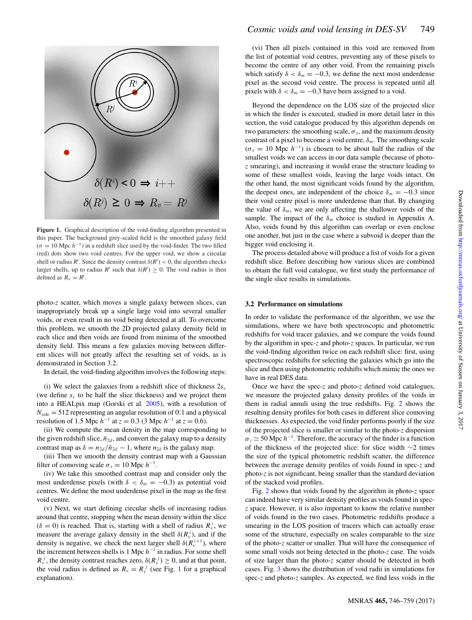<span id="page-4-0"></span>

<span id="page-4-1"></span>**Figure 1.** Graphical description of the void-finding algorithm presented in this paper. The background grey-scaled field is the smoothed galaxy field  $(\sigma = 10 \text{ Mpc } h^{-1})$  in a redshift slice used by the void-finder. The two filled (red) dots show two void centres. For the upper void, we show a circular shell or radius  $R^i$ . Since the density contrast  $\delta(R^i) < 0$ , the algorithm checks larger shells, up to radius  $R^j$  such that  $\delta(R^j) \geq 0$ . The void radius is then defined as  $R_v = R^j$ .

photo-*z* scatter, which moves a single galaxy between slices, can inappropriately break up a single large void into several smaller voids, or even result in no void being detected at all. To overcome this problem, we smooth the 2D projected galaxy density field in each slice and then voids are found from minima of the smoothed density field. This means a few galaxies moving between different slices will not greatly affect the resulting set of voids, as is demonstrated in Section 3.2.

In detail, the void-finding algorithm involves the following steps:

(i) We select the galaxies from a redshift slice of thickness  $2s_y$ (we define  $s_v$  to be half the slice thickness) and we project them into a HEALpix map (Gorski et al. [2005\)](#page-11-66), with a resolution of  $N_{side} = 512$  representing an angular resolution of 0. 1 and a physical resolution of 1.5 Mpc  $h^{-1}$  at  $z = 0.3$  (3 Mpc  $h^{-1}$  at  $z = 0.6$ ).

(ii) We compute the mean density in the map corresponding to the given redshift slice,  $\bar{n}_{2d}$ , and convert the galaxy map to a density contrast map as  $\delta = n_{2d}/\bar{n}_{2d} - 1$ , where  $n_{2d}$  is the galaxy map.

(iii) Then we smooth the density contrast map with a Gaussian filter of comoving scale  $\sigma_s = 10$  Mpc  $h^{-1}$ .

(iv) We take this smoothed contrast map and consider only the most underdense pixels (with  $\delta < \delta_m = -0.3$ ) as potential void centres. We define the most underdense pixel in the map as the first void centre.

(v) Next, we start defining circular shells of increasing radius around that centre, stopping when the mean density within the slice  $(\delta = 0)$  is reached. That is, starting with a shell of radius  $R_v^i$ , we measure the average galaxy density in the shell  $\delta(R_v^i)$ , and if the density is negative, we check the next larger shell  $\delta(R_v^{i+1})$ , where the increment between shells is 1 Mpc  $h^{-1}$  in radius. For some shell  $R_v^j$ , the density contrast reaches zero,  $\delta(R_v^j) \geq 0$ , and at that point, the void radius is defined as  $R_v = R_v^j$  (see Fig. [1](#page-3-0) for a graphical explanation).

(vi) Then all pixels contained in this void are removed from the list of potential void centres, preventing any of these pixels to become the centre of any other void. From the remaining pixels which satisfy  $\delta < \delta_m = -0.3$ , we define the next most underdense pixel as the second void centre. The process is repeated until all pixels with  $\delta < \delta_m = -0.3$  have been assigned to a void.

Beyond the dependence on the LOS size of the projected slice in which the finder is executed, studied in more detail later in this section, the void catalogue produced by this algorithm depends on two parameters: the smoothing scale,  $\sigma_s$ , and the maximum density contrast of a pixel to become a void centre,  $\delta_m$ . The smoothing scale  $(\sigma_s = 10 \text{ Mpc } h^{-1})$  is chosen to be about half the radius of the smallest voids we can access in our data sample (because of photo*z* smearing), and increasing it would erase the structure leading to some of these smallest voids, leaving the large voids intact. On the other hand, the most significant voids found by the algorithm, the deepest ones, are independent of the choice  $\delta_m = -0.3$  since their void centre pixel is more underdense than that. By changing the value of  $\delta_m$ , we are only affecting the shallower voids of the sample. The impact of the  $\delta_m$  choice is studied in Appendix A. Also, voids found by this algorithm can overlap or even enclose one another, but just in the case where a subvoid is deeper than the bigger void enclosing it.

<span id="page-4-2"></span>The process detailed above will produce a list of voids for a given redshift slice. Before describing how various slices are combined to obtain the full void catalogue, we first study the performance of the single slice results in simulations.

#### **3.2 Performance on simulations**

In order to validate the performance of the algorithm, we use the simulations, where we have both spectroscopic and photometric redshifts for void tracer galaxies, and we compare the voids found by the algorithm in spec-*z* and photo-*z* spaces. In particular, we run the void-finding algorithm twice on each redshift slice: first, using spectroscopic redshifts for selecting the galaxies which go into the slice and then using photometric redshifts which mimic the ones we have in real DES data.

Once we have the spec-*z* and photo-*z* defined void catalogues, we measure the projected galaxy density profiles of the voids in them in radial annuli using the true redshifts. Fig. [2](#page-4-0) shows the resulting density profiles for both cases in different slice comoving thicknesses. As expected, the void finder performs poorly if the size of the projected slice is smaller or similar to the photo-*z* dispersion  $\sigma_z \simeq 50$  Mpc  $h^{-1}$ . Therefore, the accuracy of the finder is a function of the thickness of the projected slice: for slice width ∼2 times the size of the typical photometric redshift scatter, the difference between the average density profiles of voids found in spec-*z* and photo-*z* is not significant, being smaller than the standard deviation of the stacked void profiles.

Fig. [2](#page-4-0) shows that voids found by the algorithm in photo-*z* space can indeed have very similar density profiles as voids found in spec*z* space. However, it is also important to know the relative number of voids found in the two cases. Photometric redshifts produce a smearing in the LOS position of tracers which can actually erase some of the structure, especially on scales comparable to the size of the photo-*z* scatter or smaller. That will have the consequence of some small voids not being detected in the photo-*z* case. The voids of size larger than the photo-*z* scatter should be detected in both cases. Fig. [3](#page-4-1) shows the distribution of void radii in simulations for spec-*z* and photo-*z* samples. As expected, we find less voids in the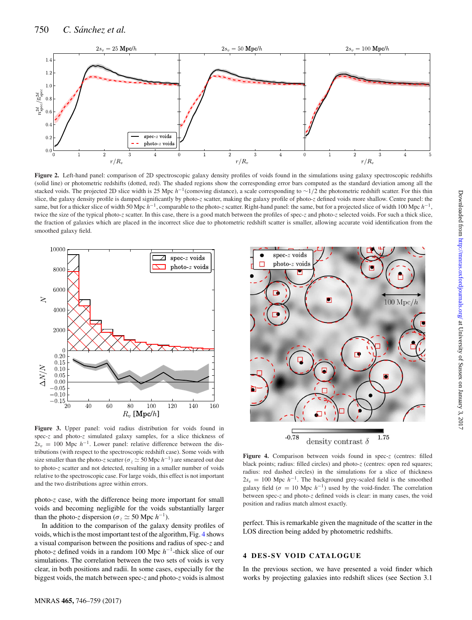<span id="page-5-0"></span>

Figure 2. Left-hand panel: comparison of 2D spectroscopic galaxy density profiles of voids found in the simulations using galaxy spectroscopic redshifts (solid line) or photometric redshifts (dotted, red). The shaded regions show the corresponding error bars computed as the standard deviation among all the stacked voids. The projected 2D slice width is 25 Mpc *h*<sup>-1</sup>(comoving distance), a scale corresponding to ∼1/2 the photometric redshift scatter. For this thin slice, the galaxy density profile is damped significantly by photo-*z* scatter, making the galaxy profile of photo-*z* defined voids more shallow. Centre panel: the same, but for a thicker slice of width 50 Mpc  $h^{-1}$ , comparable to the photo-*z* scatter. Right-hand panel: the same, but for a projected slice of width 100 Mpc  $h^{-1}$ . twice the size of the typical photo-*z* scatter. In this case, there is a good match between the profiles of spec-*z* and photo-*z* selected voids. For such a thick slice, the fraction of galaxies which are placed in the incorrect slice due to photometric redshift scatter is smaller, allowing accurate void identification from the smoothed galaxy field.



**Figure 3.** Upper panel: void radius distribution for voids found in spec-*z* and photo-*z* simulated galaxy samples, for a slice thickness of  $2s_v = 100$  Mpc  $h^{-1}$ . Lower panel: relative difference between the distributions (with respect to the spectroscopic redshift case). Some voids with size smaller than the photo-*z* scatter ( $\sigma_z \simeq 50$  Mpc  $h^{-1}$ ) are smeared out due to photo-*z* scatter and not detected, resulting in a smaller number of voids relative to the spectroscopic case. For large voids, this effect is not important and the two distributions agree within errors.

photo-*z* case, with the difference being more important for small voids and becoming negligible for the voids substantially larger than the photo-*z* dispersion ( $\sigma_z \simeq 50$  Mpc  $h^{-1}$ ).

In addition to the comparison of the galaxy density profiles of voids, which is the most important test of the algorithm, Fig. [4](#page-4-2) shows a visual comparison between the positions and radius of spec-*z* and photo-*z* defined voids in a random 100 Mpc  $h^{-1}$ -thick slice of our simulations. The correlation between the two sets of voids is very clear, in both positions and radii. In some cases, especially for the biggest voids, the match between spec-*z* and photo-*z* voids is almost

<span id="page-5-1"></span>

**Figure 4.** Comparison between voids found in spec-*z* (centres: filled black points; radius: filled circles) and photo-z (centres: open red squares; radius: red dashed circles) in the simulations for a slice of thickness  $2s_v = 100$  Mpc  $h^{-1}$ . The background grey-scaled field is the smoothed galaxy field ( $\sigma = 10$  Mpc  $h^{-1}$ ) used by the void-finder. The correlation between spec-*z* and photo-*z* defined voids is clear: in many cases, the void position and radius match almost exactly.

perfect. This is remarkable given the magnitude of the scatter in the LOS direction being added by photometric redshifts.

#### **4 DES-SV VOID CATALOGUE**

In the previous section, we have presented a void finder which works by projecting galaxies into redshift slices (see Section 3.1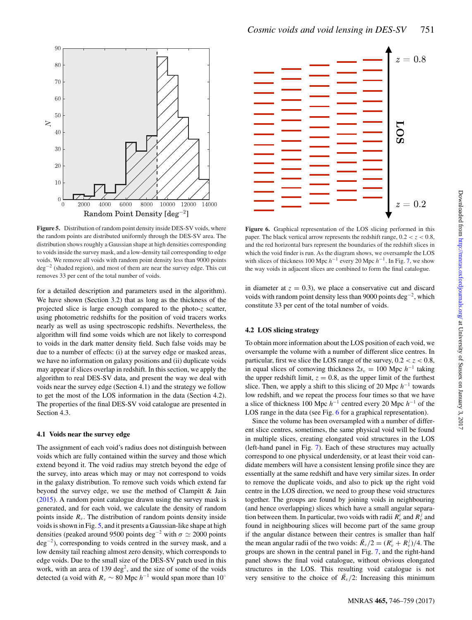<span id="page-6-0"></span>

**Figure 5.** Distribution of random point density inside DES-SV voids, where the random points are distributed uniformly through the DES-SV area. The distribution shows roughly a Gaussian shape at high densities corresponding to voids inside the survey mask, and a low-density tail corresponding to edge voids. We remove all voids with random point density less than 9000 points deg−<sup>2</sup> (shaded region), and most of them are near the survey edge. This cut removes 33 per cent of the total number of voids.

for a detailed description and parameters used in the algorithm). We have shown (Section 3.2) that as long as the thickness of the projected slice is large enough compared to the photo-*z* scatter, using photometric redshifts for the position of void tracers works nearly as well as using spectroscopic redshifts. Nevertheless, the algorithm will find some voids which are not likely to correspond to voids in the dark matter density field. Such false voids may be due to a number of effects: (i) at the survey edge or masked areas, we have no information on galaxy positions and (ii) duplicate voids may appear if slices overlap in redshift. In this section, we apply the algorithm to real DES-SV data, and present the way we deal with voids near the survey edge (Section 4.1) and the strategy we follow to get the most of the LOS information in the data (Section 4.2). The properties of the final DES-SV void catalogue are presented in Section 4.3.

#### **4.1 Voids near the survey edge**

The assignment of each void's radius does not distinguish between voids which are fully contained within the survey and those which extend beyond it. The void radius may stretch beyond the edge of the survey, into areas which may or may not correspond to voids in the galaxy distribution. To remove such voids which extend far beyond the survey edge, we use the method of Clampitt & Jain [\(2015\)](#page-11-24). A random point catalogue drawn using the survey mask is generated, and for each void, we calculate the density of random points inside  $R_v$ . The distribution of random points density inside voids is shown in Fig. [5,](#page-5-0) and it presents a Gaussian-like shape at high densities (peaked around 9500 points deg<sup>-2</sup> with  $\sigma \simeq 2000$  points deg<sup>−</sup><sup>2</sup> ), corresponding to voids centred in the survey mask, and a low density tail reaching almost zero density, which corresponds to edge voids. Due to the small size of the DES-SV patch used in this work, with an area of 139 deg<sup>2</sup>, and the size of some of the voids detected (a void with  $R_v \sim 80$  Mpc  $h^{-1}$  would span more than 10<sup>°</sup>



<span id="page-6-1"></span>**Figure 6.** Graphical representation of the LOS slicing performed in this paper. The black vertical arrow represents the redshift range,  $0.2 < z < 0.8$ , and the red horizontal bars represent the boundaries of the redshift slices in which the void finder is run. As the diagram shows, we oversample the LOS with slices of thickness 100 Mpc  $h^{-1}$  every 20 Mpc  $h^{-1}$ . In Fig. [7,](#page-6-0) we show the way voids in adjacent slices are combined to form the final catalogue.

in diameter at  $z = 0.3$ ), we place a conservative cut and discard voids with random point density less than 9000 points deg<sup>-2</sup>, which constitute 33 per cent of the total number of voids.

## **4.2 LOS slicing strategy**

To obtain more information about the LOS position of each void, we oversample the volume with a number of different slice centres. In particular, first we slice the LOS range of the survey,  $0.2 < z < 0.8$ , in equal slices of comoving thickness  $2s_v = 100$  Mpc  $h^{-1}$  taking the upper redshift limit,  $z = 0.8$ , as the upper limit of the furthest slice. Then, we apply a shift to this slicing of 20 Mpc  $h^{-1}$  towards low redshift, and we repeat the process four times so that we have a slice of thickness 100 Mpc  $h^{-1}$  centred every 20 Mpc  $h^{-1}$  of the LOS range in the data (see Fig. [6](#page-5-1) for a graphical representation).

Since the volume has been oversampled with a number of different slice centres, sometimes, the same physical void will be found in multiple slices, creating elongated void structures in the LOS (left-hand panel in Fig. [7\)](#page-6-0). Each of these structures may actually correspond to one physical underdensity, or at least their void candidate members will have a consistent lensing profile since they are essentially at the same redshift and have very similar sizes. In order to remove the duplicate voids, and also to pick up the right void centre in the LOS direction, we need to group these void structures together. The groups are found by joining voids in neighbouring (and hence overlapping) slices which have a small angular separation between them. In particular, two voids with radii  $R_v^i$  and  $R_v^j$  and found in neighbouring slices will become part of the same group if the angular distance between their centres is smaller than half the mean angular radii of the two voids:  $\bar{R}_v/2 = (R_v^i + R_v^j)/4$ . The groups are shown in the central panel in Fig. [7,](#page-6-0) and the right-hand panel shows the final void catalogue, without obvious elongated structures in the LOS. This resulting void catalogue is not very sensitive to the choice of  $\overline{R}_v/2$ : Increasing this minimum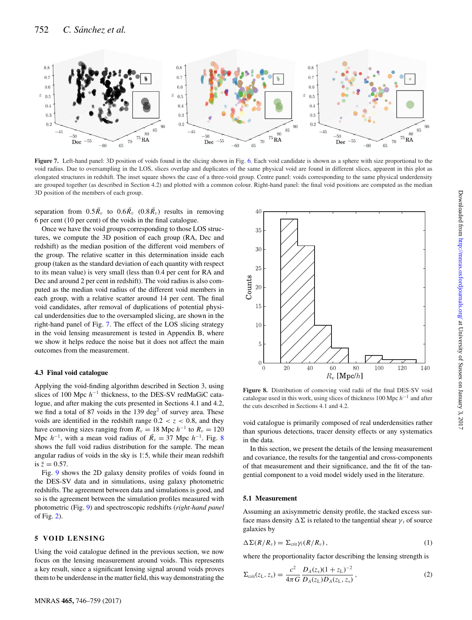<span id="page-7-0"></span>

Figure 7. Left-hand panel: 3D position of voids found in the slicing shown in Fig. [6.](#page-5-1) Each void candidate is shown as a sphere with size proportional to the void radius. Due to oversampling in the LOS, slices overlap and duplicates of the same physical void are found in different slices, apparent in this plot as elongated structures in redshift. The inset square shows the case of a three-void group. Centre panel: voids corresponding to the same physical underdensity are grouped together (as described in Section 4.2) and plotted with a common colour. Right-hand panel: the final void positions are computed as the median 3D position of the members of each group.

separation from  $0.5\bar{R_v}$  to  $0.6\bar{R_v}$   $(0.8\bar{R_v})$  results in removing 6 per cent (10 per cent) of the voids in the final catalogue.

Once we have the void groups corresponding to those LOS structures, we compute the 3D position of each group (RA, Dec and redshift) as the median position of the different void members of the group. The relative scatter in this determination inside each group (taken as the standard deviation of each quantity with respect to its mean value) is very small (less than 0.4 per cent for RA and Dec and around 2 per cent in redshift). The void radius is also computed as the median void radius of the different void members in each group, with a relative scatter around 14 per cent. The final void candidates, after removal of duplications of potential physical underdensities due to the oversampled slicing, are shown in the right-hand panel of Fig. [7.](#page-6-0) The effect of the LOS slicing strategy in the void lensing measurement is tested in Appendix B, where we show it helps reduce the noise but it does not affect the main outcomes from the measurement.

#### **4.3 Final void catalogue**

Applying the void-finding algorithm described in Section 3, using slices of 100 Mpc  $h^{-1}$  thickness, to the DES-SV redMaGiC catalogue, and after making the cuts presented in Sections 4.1 and 4.2, we find a total of 87 voids in the 139 deg<sup>2</sup> of survey area. These voids are identified in the redshift range  $0.2 < z < 0.8$ , and they have comoving sizes ranging from  $R_v = 18$  Mpc  $h^{-1}$  to  $R_v = 120$ Mpc  $h^{-1}$ , with a mean void radius of  $\bar{R}_v = 37$  Mpc  $h^{-1}$ . Fig. [8](#page-6-1) shows the full void radius distribution for the sample. The mean angular radius of voids in the sky is 1°.5, while their mean redshift is  $\bar{z} = 0.57$ .

Fig. [9](#page-7-0) shows the 2D galaxy density profiles of voids found in the DES-SV data and in simulations, using galaxy photometric redshifts. The agreement between data and simulations is good, and so is the agreement between the simulation profiles measured with photometric (Fig. [9\)](#page-7-0) and spectroscopic redshifts (*right-hand panel* of Fig. [2\)](#page-4-0).

#### **5 VOID LENSING**

Using the void catalogue defined in the previous section, we now focus on the lensing measurement around voids. This represents a key result, since a significant lensing signal around voids proves them to be underdense in the matter field, this way demonstrating the



**Figure 8.** Distribution of comoving void radii of the final DES-SV void catalogue used in this work, using slices of thickness 100 Mpc  $h^{-1}$  and after the cuts described in Sections 4.1 and 4.2.

void catalogue is primarily composed of real underdensities rather than spurious detections, tracer density effects or any systematics in the data.

In this section, we present the details of the lensing measurement and covariance, the results for the tangential and cross-components of that measurement and their significance, and the fit of the tangential component to a void model widely used in the literature.

#### **5.1 Measurement**

Assuming an axisymmetric density profile, the stacked excess surface mass density  $\Delta \Sigma$  is related to the tangential shear  $\gamma_t$  of source galaxies by

$$
\Delta \Sigma(R/R_v) = \Sigma_{\rm crit} \gamma_t(R/R_v), \qquad (1)
$$

where the proportionality factor describing the lensing strength is

$$
\Sigma_{\rm crit}(z_{\rm L}, z_{\rm s}) = \frac{c^2}{4\pi G} \frac{D_A(z_{\rm s})(1+z_{\rm L})^{-2}}{D_A(z_{\rm L})D_A(z_{\rm L}, z_{\rm s})},\tag{2}
$$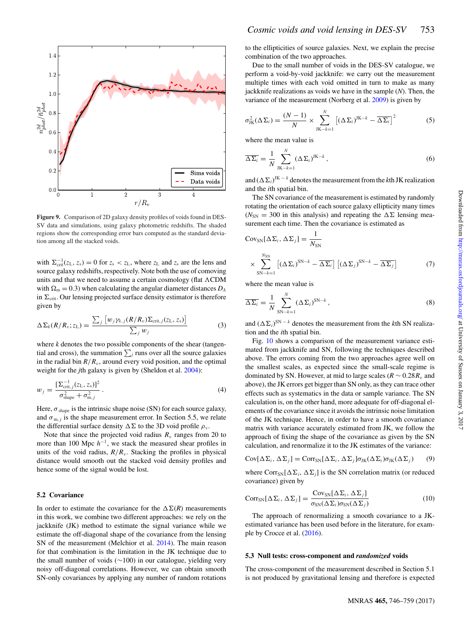<span id="page-8-0"></span>

**Figure 9.** Comparison of 2D galaxy density profiles of voids found in DES-SV data and simulations, using galaxy photometric redshifts. The shaded regions show the corresponding error bars computed as the standard deviation among all the stacked voids.

with  $\Sigma_{\text{crit}}^{-1}(z_L, z_s) = 0$  for  $z_s < z_L$ , where  $z_L$  and  $z_s$  are the lens and source galaxy redshifts, respectively. Note both the use of comoving units and that we need to assume a certain cosmology (flat  $\Lambda \text{CDM}$ with  $\Omega_m = 0.3$ ) when calculating the angular diameter distances  $D_A$ in  $\Sigma_{\text{crit}}$ . Our lensing projected surface density estimator is therefore given by

<span id="page-8-1"></span>
$$
\Delta \Sigma_k(R/R_v; z_L) = \frac{\sum_j \left[ w_j \gamma_{k,j}(R/R_v) \Sigma_{\text{crit},j}(z_L, z_s) \right]}{\sum_j w_j} \tag{3}
$$

where *k* denotes the two possible components of the shear (tangential and cross), the summation  $\sum_j$  runs over all the source galaxies in the radial bin  $R/R_v$ , around every void position, and the optimal weight for the *j*th galaxy is given by (Sheldon et al. [2004\)](#page-11-67):

$$
w_{j} = \frac{\left[\Sigma_{\text{crit},j}^{-1}(z_{\text{L}}, z_{\text{s}})\right]^{2}}{\sigma_{\text{shape}}^{2} + \sigma_{\text{m},j}^{2}}.
$$
\n(4)

Here,  $\sigma_{shape}$  is the intrinsic shape noise (SN) for each source galaxy, and  $\sigma_{m,j}$  is the shape measurement error. In Section 5.5, we relate the differential surface density  $\Delta \Sigma$  to the 3D void profile  $\rho_{v}$ .

Note that since the projected void radius  $R<sub>v</sub>$  ranges from 20 to more than 100 Mpc  $h^{-1}$ , we stack the measured shear profiles in units of the void radius,  $R/R<sub>v</sub>$ . Stacking the profiles in physical distance would smooth out the stacked void density profiles and hence some of the signal would be lost.

#### **5.2 Covariance**

In order to estimate the covariance for the  $\Delta \Sigma(R)$  measurements in this work, we combine two different approaches: we rely on the jackknife (JK) method to estimate the signal variance while we estimate the off-diagonal shape of the covariance from the lensing SN of the measurement (Melchior et al. [2014\)](#page-11-68). The main reason for that combination is the limitation in the JK technique due to the small number of voids (∼100) in our catalogue, yielding very noisy off-diagonal correlations. However, we can obtain smooth SN-only covariances by applying any number of random rotations <span id="page-8-2"></span>to the ellipticities of source galaxies. Next, we explain the precise combination of the two approaches.

Due to the small number of voids in the DES-SV catalogue, we perform a void-by-void jackknife: we carry out the measurement multiple times with each void omitted in turn to make as many jackknife realizations as voids we have in the sample (*N*). Then, the variance of the measurement (Norberg et al. [2009\)](#page-11-69) is given by

$$
\sigma_{\text{JK}}^2(\Delta \Sigma_i) = \frac{(N-1)}{N} \times \sum_{\text{JK}-k=1}^N \left[ (\Delta \Sigma_i)^{\text{JK}-k} - \overline{\Delta \Sigma_i} \right]^2 \tag{5}
$$

where the mean value is

$$
\overline{\Delta \Sigma_i} = \frac{1}{N} \sum_{\text{JK}-k=1}^{N} (\Delta \Sigma_i)^{\text{JK}-k}, \qquad (6)
$$

and  $(\Delta \Sigma_i)^{JK-k}$  denotes the measurement from the *k*th JK realization and the *i*th spatial bin.

The SN covariance of the measurement is estimated by randomly rotating the orientation of each source galaxy ellipticity many times ( $N_{\rm SN}$  = 300 in this analysis) and repeating the  $\Delta\Sigma$  lensing measurement each time. Then the covariance is estimated as

$$
Cov_{SN}[\Delta\Sigma_i, \Delta\Sigma_j] = \frac{1}{N_{SN}}
$$
  
 
$$
\times \sum_{SN-k=1}^{N_{SN}} [(\Delta\Sigma_i)^{SN-k} - \overline{\Delta\Sigma_i}] [(\Delta\Sigma_j)^{SN-k} - \overline{\Delta\Sigma_j}]
$$
 (7)

where the mean value is

$$
\overline{\Delta \Sigma_i} = \frac{1}{N} \sum_{\text{SN}-k=1}^{N} (\Delta \Sigma_i)^{\text{SN}-k}, \tag{8}
$$

and  $(\Delta \Sigma_i)^{SN-k}$  denotes the measurement from the *k*th SN realization and the *i*th spatial bin.

Fig. [10](#page-8-0) shows a comparison of the measurement variance estimated from jackknife and SN, following the techniques described above. The errors coming from the two approaches agree well on the smallest scales, as expected since the small-scale regime is dominated by SN. However, at mid to large scales ( $R \sim 0.28R_v$ ) and above), the JK errors get bigger than SN only, as they can trace other effects such as systematics in the data or sample variance. The SN calculation is, on the other hand, more adequate for off-diagonal elements of the covariance since it avoids the intrinsic noise limitation of the JK technique. Hence, in order to have a smooth covariance matrix with variance accurately estimated from JK, we follow the approach of fixing the shape of the covariance as given by the SN calculation, and renormalize it to the JK estimates of the variance:

$$
Cov[\Delta\Sigma_i, \Delta\Sigma_j] = Corr_{SN}[\Delta\Sigma_i, \Delta\Sigma_j] \sigma_{JK}(\Delta\Sigma_i) \sigma_{JK}(\Delta\Sigma_j)
$$
 (9)

where  $Corr<sub>SN</sub>[ $\Delta \Sigma_i$ ,  $\Delta \Sigma_j$ ] is the SN correlation matrix (or reduced$ covariance) given by

$$
CorrSN[ $\Delta \Sigma_i$ ,  $\Delta \Sigma_j$ ] =  $\frac{Cov_{SN}[ $\Delta \Sigma_i$ ,  $\Delta \Sigma_j$ ]}{\sigma_{SN}( $\Delta \Sigma_j$ )\sigma_{SN}( $\Delta \Sigma_j$ )}$  (10)
$$

The approach of renormalizing a smooth covariance to a JKestimated variance has been used before in the literature, for example by Crocce et al. [\(2016\)](#page-11-70).

#### **5.3 Null tests: cross-component and** *randomized* **voids**

The cross-component of the measurement described in Section 5.1 is not produced by gravitational lensing and therefore is expected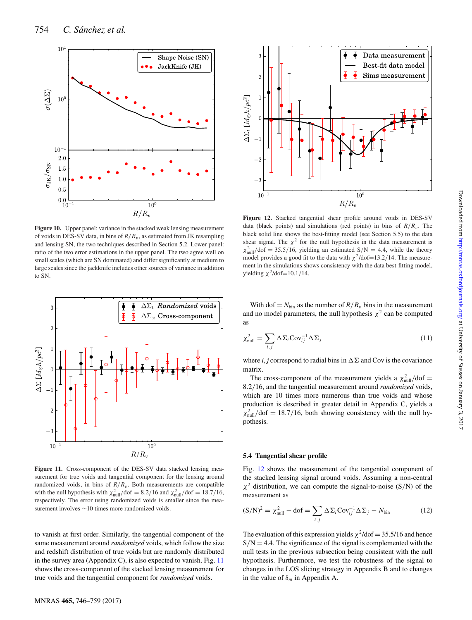<span id="page-9-0"></span>

**Figure 10.** Upper panel: variance in the stacked weak lensing measurement of voids in DES-SV data, in bins of  $R/R_v$ , as estimated from JK resampling and lensing SN, the two techniques described in Section 5.2. Lower panel: ratio of the two error estimations in the upper panel. The two agree well on small scales (which are SN dominated) and differ significantly at medium to large scales since the jackknife includes other sources of variance in addition to SN.



Figure 11. Cross-component of the DES-SV data stacked lensing measurement for true voids and tangential component for the lensing around randomized voids, in bins of  $R/R_v$ . Both measurements are compatible with the null hypothesis with  $\chi_{\text{null}}^2/\text{dof} = 8.2/16$  and  $\chi_{\text{null}}^2/\text{dof} = 18.7/16$ , respectively. The error using randomized voids is smaller since the measurement involves ∼10 times more randomized voids.

to vanish at first order. Similarly, the tangential component of the same measurement around *randomized* voids, which follow the size and redshift distribution of true voids but are randomly distributed in the survey area (Appendix C), is also expected to vanish. Fig. [11](#page-8-1) shows the cross-component of the stacked lensing measurement for true voids and the tangential component for *randomized* voids.



**Figure 12.** Stacked tangential shear profile around voids in DES-SV data (black points) and simulations (red points) in bins of  $R/R_v$ . The black solid line shows the best-fitting model (see Section 5.5) to the data shear signal. The  $\chi^2$  for the null hypothesis in the data measurement is  $\chi^2_{\text{null}}/\text{dof} = 35.5/16$ , yielding an estimated  $\frac{S}{N} = 4.4$ , while the theory model provides a good fit to the data with  $\chi^2$ /dof=13.2/14. The measurement in the simulations shows consistency with the data best-fitting model, yielding  $\chi^2$ /dof=10.1/14.

With dof =  $N_{\text{bin}}$  as the number of  $R/R_v$  bins in the measurement and no model parameters, the null hypothesis  $\chi^2$  can be computed as

$$
\chi_{\text{null}}^2 = \sum_{i,j} \Delta \Sigma_i \text{Cov}_{ij}^{-1} \Delta \Sigma_j \tag{11}
$$

where *i*, *j* correspond to radial bins in  $\Delta \Sigma$  and Cov is the covariance matrix.

The cross-component of the measurement yields a  $\chi^2_{\text{null}}/\text{dof} =$ 8.2/16, and the tangential measurement around *randomized* voids, which are 10 times more numerous than true voids and whose production is described in greater detail in Appendix C, yields a  $\chi_{\text{null}}^2$ /dof = 18.7/16, both showing consistency with the null hypothesis.

#### **5.4 Tangential shear profile**

Fig. [12](#page-8-2) shows the measurement of the tangential component of the stacked lensing signal around voids. Assuming a non-central  $\chi^2$  distribution, we can compute the signal-to-noise (S/N) of the measurement as

$$
(\mathbf{S}/\mathbf{N})^2 = \chi_{\text{null}}^2 - \mathbf{dof} = \sum_{i,j} \Delta \Sigma_i \mathbf{Cov}_{ij}^{-1} \Delta \Sigma_j - N_{\text{bin}} \tag{12}
$$

The evaluation of this expression yields  $\chi^2$ /dof = 35.5/16 and hence  $S/N = 4.4$ . The significance of the signal is complemented with the null tests in the previous subsection being consistent with the null hypothesis. Furthermore, we test the robustness of the signal to changes in the LOS slicing strategy in Appendix B and to changes in the value of  $\delta_m$  in Appendix A.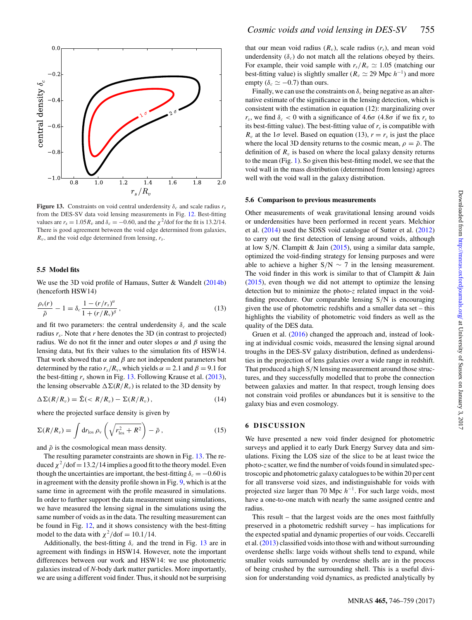

**Figure 13.** Constraints on void central underdensity  $\delta_c$  and scale radius  $r_s$ from the DES-SV data void lensing measurements in Fig. [12.](#page-8-2) Best-fitting values are  $r_s = 1.05 R_v$  and  $\delta_c = -0.60$ , and the  $\chi^2$ /dof for the fit is 13.2/14. There is good agreement between the void edge determined from galaxies,  $R_v$ , and the void edge determined from lensing,  $r_s$ .

#### **5.5 Model fits**

We use the 3D void profile of Hamaus, Sutter & Wandelt [\(2014b\)](#page-11-71) (henceforth HSW14)

$$
\frac{\rho_v(r)}{\bar{\rho}} - 1 = \delta_c \frac{1 - (r/r_s)^\alpha}{1 + (r/R_v)^\beta},\tag{13}
$$

and fit two parameters: the central underdensity  $\delta_c$  and the scale radius *r<sup>s</sup>* . Note that *r* here denotes the 3D (in contrast to projected) radius. We do not fit the inner and outer slopes  $\alpha$  and  $\beta$  using the lensing data, but fix their values to the simulation fits of HSW14. That work showed that  $\alpha$  and  $\beta$  are not independent parameters but determined by the ratio  $r_s/R_v$ , which yields  $\alpha = 2.1$  and  $\beta = 9.1$  for the best-fitting  $r_s$  shown in Fig. [13.](#page-9-0) Following Krause et al.  $(2013)$ , the lensing observable  $\Delta \Sigma(R/R_v)$  is related to the 3D density by

$$
\Delta \Sigma(R/R_v) = \bar{\Sigma}(
$$

where the projected surface density is given by

$$
\Sigma(R/R_v) = \int \mathrm{d}r_{\rm los} \,\rho_{\rm v} \left( \sqrt{r_{\rm los}^2 + R^2} \right) - \bar{\rho} \,, \tag{15}
$$

and  $\bar{\rho}$  is the cosmological mean mass density.

The resulting parameter constraints are shown in Fig. [13.](#page-9-0) The reduced  $\chi^2$ /dof = 13.2/14 implies a good fit to the theory model. Even though the uncertainties are important, the best-fitting  $\delta_c = -0.60$  is in agreement with the density profile shown in Fig. [9,](#page-7-0) which is at the same time in agreement with the profile measured in simulations. In order to further support the data measurement using simulations, we have measured the lensing signal in the simulations using the same number of voids as in the data. The resulting measurement can be found in Fig. [12,](#page-8-2) and it shows consistency with the best-fitting model to the data with  $\chi^2$ /dof = 10.1/14.

Additionally, the best-fitting  $\delta_c$  and the trend in Fig. [13](#page-9-0) are in agreement with findings in HSW14. However, note the important differences between our work and HSW14: we use photometric galaxies instead of *N*-body dark matter particles. More importantly, we are using a different void finder. Thus, it should not be surprising that our mean void radius  $(R_v)$ , scale radius  $(r_s)$ , and mean void underdensity  $(\delta_c)$  do not match all the relations obeyed by theirs. For example, their void sample with  $r_s/R_v \simeq 1.05$  (matching our best-fitting value) is slightly smaller ( $R_v \simeq 29$  Mpc  $h^{-1}$ ) and more empty ( $\delta_c \simeq -0.7$ ) than ours.

Finally, we can use the constraints on  $\delta_c$  being negative as an alternative estimate of the significance in the lensing detection, which is consistent with the estimation in equation (12): marginalizing over *r<sub>s</sub>*, we find  $\delta_c < 0$  with a significance of 4.6 $\sigma$  (4.8 $\sigma$  if we fix *r<sub>s</sub>* to its best-fitting value). The best-fitting value of  $r<sub>s</sub>$  is compatible with  $R_v$  at the 1 $\sigma$  level. Based on equation (13),  $r = r_s$  is just the place where the local 3D density returns to the cosmic mean,  $\rho = \bar{\rho}$ . The definition of  $R_v$  is based on where the local galaxy density returns to the mean (Fig. [1\)](#page-3-0). So given this best-fitting model, we see that the void wall in the mass distribution (determined from lensing) agrees well with the void wall in the galaxy distribution.

#### **5.6 Comparison to previous measurements**

Other measurements of weak gravitational lensing around voids or underdensities have been performed in recent years. Melchior et al. [\(2014\)](#page-11-68) used the SDSS void catalogue of Sutter et al. [\(2012\)](#page-11-16) to carry out the first detection of lensing around voids, although at low  $S/N$ . Clampitt & Jain [\(2015\)](#page-11-24), using a similar data sample, optimized the void-finding strategy for lensing purposes and were able to achieve a higher  $S/N \sim 7$  in the lensing measurement. The void finder in this work is similar to that of Clampitt & Jain [\(2015\)](#page-11-24), even though we did not attempt to optimize the lensing detection but to minimize the photo-*z* related impact in the voidfinding procedure. Our comparable lensing S/N is encouraging given the use of photometric redshifts and a smaller data set – this highlights the viability of photometric void finders as well as the quality of the DES data.

Gruen et al. [\(2016\)](#page-11-73) changed the approach and, instead of looking at individual cosmic voids, measured the lensing signal around troughs in the DES-SV galaxy distribution, defined as underdensities in the projection of lens galaxies over a wide range in redshift. That produced a high S/N lensing measurement around those structures, and they successfully modelled that to probe the connection between galaxies and matter. In that respect, trough lensing does not constrain void profiles or abundances but it is sensitive to the galaxy bias and even cosmology.

#### **6 DISCUSSION**

We have presented a new void finder designed for photometric surveys and applied it to early Dark Energy Survey data and simulations. Fixing the LOS size of the slice to be at least twice the photo-*z*scatter, we find the number of voids found in simulated spectroscopic and photometric galaxy catalogues to be within 20 per cent for all transverse void sizes, and indistinguishable for voids with projected size larger than 70 Mpc  $h^{-1}$ . For such large voids, most have a one-to-one match with nearly the same assigned centre and radius.

This result – that the largest voids are the ones most faithfully preserved in a photometric redshift survey – has implications for the expected spatial and dynamic properties of our voids. Ceccarelli et al. [\(2013\)](#page-11-74) classified voids into those with and without surrounding overdense shells: large voids without shells tend to expand, while smaller voids surrounded by overdense shells are in the process of being crushed by the surrounding shell. This is a useful division for understanding void dynamics, as predicted analytically by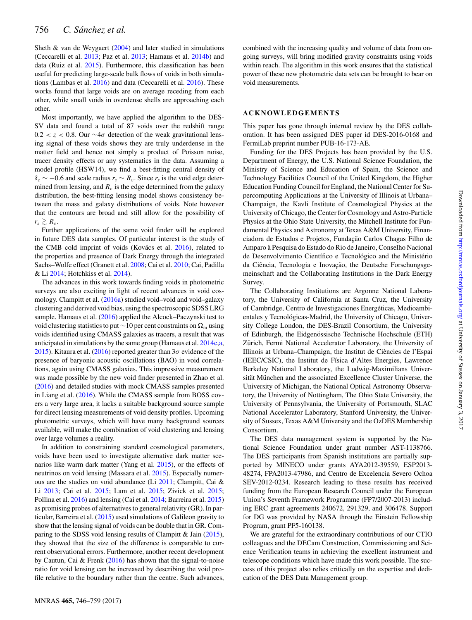<span id="page-11-63"></span><span id="page-11-10"></span>Sheth  $\&$  van de Weygaert [\(2004\)](#page-11-75) and later studied in simulations (Ceccarelli et al. [2013;](#page-11-74) Paz et al. [2013;](#page-11-76) Hamaus et al. [2014b\)](#page-11-71) and data (Ruiz et al. [2015\)](#page-11-77). Furthermore, this classification has been useful for predicting large-scale bulk flows of voids in both simulations (Lambas et al. [2016\)](#page-11-78) and data (Ceccarelli et al. [2016\)](#page-11-79). These works found that large voids are on average receding from each other, while small voids in overdense shells are approaching each other.

<span id="page-11-82"></span><span id="page-11-81"></span><span id="page-11-65"></span><span id="page-11-60"></span><span id="page-11-58"></span><span id="page-11-50"></span><span id="page-11-45"></span><span id="page-11-8"></span><span id="page-11-0"></span>Most importantly, we have applied the algorithm to the DES-SV data and found a total of 87 voids over the redshift range 0.2 < *z* < 0.8. Our ∼4σ detection of the weak gravitational lensing signal of these voids shows they are truly underdense in the matter field and hence not simply a product of Poisson noise, tracer density effects or any systematics in the data. Assuming a model profile (HSW14), we find a best-fitting central density of  $\delta_c \sim -0.6$  and scale radius  $r_s \sim R_v$ . Since  $r_s$  is the void edge determined from lensing, and  $R_v$  is the edge determined from the galaxy distribution, the best-fitting lensing model shows consistency between the mass and galaxy distributions of voids. Note however that the contours are broad and still allow for the possibility of  $r_s \gtrsim R_v$ .

<span id="page-11-93"></span><span id="page-11-79"></span><span id="page-11-74"></span><span id="page-11-51"></span><span id="page-11-47"></span><span id="page-11-21"></span><span id="page-11-11"></span>Further applications of the same void finder will be explored in future DES data samples. Of particular interest is the study of the CMB cold imprint of voids (Kovács et al. [2016\)](#page-11-80), related to the properties and presence of Dark Energy through the integrated Sachs–Wolfe effect (Granett et al. [2008;](#page-11-36) Cai et al. [2010;](#page-11-81) Cai, Padilla & Li [2014;](#page-11-82) Hotchkiss et al. [2014\)](#page-11-83).

<span id="page-11-90"></span><span id="page-11-70"></span><span id="page-11-61"></span><span id="page-11-56"></span><span id="page-11-53"></span><span id="page-11-48"></span><span id="page-11-40"></span><span id="page-11-37"></span><span id="page-11-28"></span><span id="page-11-27"></span><span id="page-11-24"></span><span id="page-11-19"></span>The advances in this work towards finding voids in photometric surveys are also exciting in light of recent advances in void cosmology. Clampitt et al. [\(2016a\)](#page-11-48) studied void–void and void–galaxy clustering and derived void bias, using the spectroscopic SDSS LRG sample. Hamaus et al. [\(2016\)](#page-11-4) applied the Alcock–Paczynski test to void clustering statistics to put ∼10 per cent constraints on  $\Omega_m$  using voids identified using CMASS galaxies as tracers, a result that was anticipated in simulations by the same group (Hamaus et al. [2014c](#page-11-84)[,a,](#page-11-85) [2015\)](#page-11-86). Kitaura et al. [\(2016\)](#page-11-3) reported greater than  $3\sigma$  evidence of the presence of baryonic acoustic oscillations (BAO) in void correlations, again using CMASS galaxies. This impressive measurement was made possible by the new void finder presented in Zhao et al. [\(2016\)](#page-11-26) and detailed studies with mock CMASS samples presented in Liang et al. [\(2016\)](#page-11-87). While the CMASS sample from BOSS covers a very large area, it lacks a suitable background source sample for direct lensing measurements of void density profiles. Upcoming photometric surveys, which will have many background sources available, will make the combination of void clustering and lensing over large volumes a reality.

<span id="page-11-86"></span><span id="page-11-85"></span><span id="page-11-84"></span><span id="page-11-83"></span><span id="page-11-73"></span><span id="page-11-71"></span><span id="page-11-66"></span><span id="page-11-64"></span><span id="page-11-41"></span><span id="page-11-39"></span><span id="page-11-38"></span><span id="page-11-36"></span><span id="page-11-34"></span><span id="page-11-31"></span><span id="page-11-30"></span><span id="page-11-25"></span><span id="page-11-18"></span><span id="page-11-4"></span>In addition to constraining standard cosmological parameters, voids have been used to investigate alternative dark matter scenarios like warm dark matter (Yang et al. [2015\)](#page-11-88), or the effects of neutrinos on void lensing (Massara et al. [2015\)](#page-11-89). Especially numerous are the studies on void abundance (Li [2011;](#page-11-22) Clampitt, Cai & Li [2013;](#page-11-90) Cai et al. [2015;](#page-11-11) Lam et al. [2015;](#page-11-91) Zivick et al. [2015;](#page-11-92) Pollina et al. [2016\)](#page-11-49) and lensing (Cai et al. [2014;](#page-11-82) Barreira et al. [2015\)](#page-11-10) as promising probes of alternatives to general relativity (GR). In particular, Barreira et al. [\(2015\)](#page-11-10) used simulations of Galileon gravity to show that the lensing signal of voids can be double that in GR. Comparing to the SDSS void lensing results of Clampitt & Jain [\(2015\)](#page-11-24), they showed that the size of the difference is comparable to current observational errors. Furthermore, another recent development by Cautun, Cai & Frenk [\(2016\)](#page-11-93) has shown that the signal-to-noise ratio for void lensing can be increased by describing the void profile relative to the boundary rather than the centre. Such advances,

<span id="page-11-80"></span><span id="page-11-72"></span><span id="page-11-33"></span><span id="page-11-23"></span><span id="page-11-3"></span>combined with the increasing quality and volume of data from ongoing surveys, will bring modified gravity constraints using voids within reach. The algorithm in this work ensures that the statistical power of these new photometric data sets can be brought to bear on void measurements.

#### <span id="page-11-91"></span><span id="page-11-78"></span><span id="page-11-54"></span><span id="page-11-1"></span>**ACKNOWLEDGEMENTS**

<span id="page-11-29"></span><span id="page-11-15"></span>This paper has gone through internal review by the DES collaboration. It has been assigned DES paper id DES-2016-0168 and FermiLab preprint number PUB-16-173-AE.

<span id="page-11-89"></span><span id="page-11-87"></span><span id="page-11-57"></span><span id="page-11-52"></span><span id="page-11-22"></span><span id="page-11-7"></span><span id="page-11-5"></span>Funding for the DES Projects has been provided by the U.S. Department of Energy, the U.S. National Science Foundation, the Ministry of Science and Education of Spain, the Science and Technology Facilities Council of the United Kingdom, the Higher Education Funding Council for England, the National Center for Supercomputing Applications at the University of Illinois at Urbana– Champaign, the Kavli Institute of Cosmological Physics at the University of Chicago, the Center for Cosmology and Astro-Particle Physics at the Ohio State University, the Mitchell Institute for Fundamental Physics and Astronomy at Texas A&M University, Financiadora de Estudos e Projetos, Fundação Carlos Chagas Filho de Amparo a Pesquisa do Estado do Rio de Janeiro, Conselho Nacional ` de Desenvolvimento Científico e Tecnológico and the Ministério da Ciência, Tecnologia e Inovação, the Deutsche Forschungsgemeinschaft and the Collaborating Institutions in the Dark Energy Survey.

<span id="page-11-77"></span><span id="page-11-76"></span><span id="page-11-69"></span><span id="page-11-68"></span><span id="page-11-62"></span><span id="page-11-49"></span><span id="page-11-43"></span><span id="page-11-20"></span><span id="page-11-17"></span><span id="page-11-14"></span><span id="page-11-13"></span>The Collaborating Institutions are Argonne National Laboratory, the University of California at Santa Cruz, the University of Cambridge, Centro de Investigaciones Energeticas, Medioambi- ´ entales y Tecnológicas-Madrid, the University of Chicago, University College London, the DES-Brazil Consortium, the University of Edinburgh, the Eidgenössische Technische Hochschule (ETH) Zürich, Fermi National Accelerator Laboratory, the University of Illinois at Urbana–Champaign, the Institut de Ciencies de l'Espai ` (IEEC/CSIC), the Institut de Física d'Altes Energies, Lawrence Berkeley National Laboratory, the Ludwig-Maximilians Universität München and the associated Excellence Cluster Universe, the University of Michigan, the National Optical Astronomy Observatory, the University of Nottingham, The Ohio State University, the University of Pennsylvania, the University of Portsmouth, SLAC National Accelerator Laboratory, Stanford University, the University of Sussex, Texas A&M University and the OzDES Membership Consortium.

<span id="page-11-75"></span><span id="page-11-67"></span><span id="page-11-55"></span><span id="page-11-46"></span><span id="page-11-44"></span><span id="page-11-42"></span><span id="page-11-35"></span><span id="page-11-16"></span><span id="page-11-12"></span><span id="page-11-9"></span><span id="page-11-6"></span><span id="page-11-2"></span>The DES data management system is supported by the National Science Foundation under grant number AST-1138766. The DES participants from Spanish institutions are partially supported by MINECO under grants AYA2012-39559, ESP2013- 48274, FPA2013-47986, and Centro de Excelencia Severo Ochoa SEV-2012-0234. Research leading to these results has received funding from the European Research Council under the European Union's Seventh Framework Programme (FP7/2007-2013) including ERC grant agreements 240672, 291329, and 306478. Support for DG was provided by NASA through the Einstein Fellowship Program, grant PF5-160138.

<span id="page-11-92"></span><span id="page-11-88"></span><span id="page-11-59"></span><span id="page-11-32"></span><span id="page-11-26"></span>We are grateful for the extraordinary contributions of our CTIO colleagues and the DECam Construction, Commissioning and Science Verification teams in achieving the excellent instrument and telescope conditions which have made this work possible. The success of this project also relies critically on the expertise and dedication of the DES Data Management group.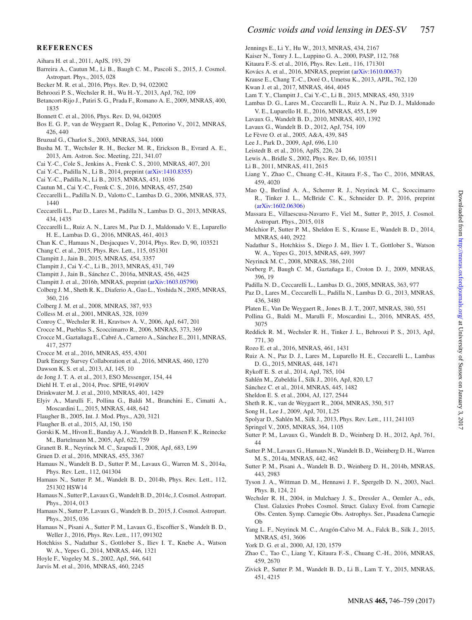# <span id="page-12-0"></span>**REFERENCES**

- Aihara H. et al., 2011, ApJS, 193, 29
- Barreira A., Cautun M., Li B., Baugh C. M., Pascoli S., 2015, J. Cosmol. Astropart. Phys., 2015, 028
- Becker M. R. et al., 2016, Phys. Rev. D, 94, 022002
- Behroozi P. S., Wechsler R. H., Wu H.-Y., 2013, ApJ, 762, 109
- Betancort-Rijo J., Patiri S. G., Prada F., Romano A. E., 2009, MNRAS, 400, 1835
- Bonnett C. et al., 2016, Phys. Rev. D, 94, 042005
- Bos E. G. P., van de Weygaert R., Dolag K., Pettorino V., 2012, MNRAS, 426, 440
- Bruzual G., Charlot S., 2003, MNRAS, 344, 1000
- Busha M. T., Wechsler R. H., Becker M. R., Erickson B., Evrard A. E., 2013, Am. Astron. Soc. Meeting, 221, 341.07
- Cai Y.-C., Cole S., Jenkins A., Frenk C. S., 2010, MNRAS, 407, 201
- Cai Y.-C., Padilla N., Li B., 2014, preprint [\(arXiv:1410.8355\)](http://arxiv.org/abs/1410.8355)
- Cai Y.-C., Padilla N., Li B., 2015, MNRAS, 451, 1036
- Cautun M., Cai Y.-C., Frenk C. S., 2016, MNRAS, 457, 2540
- Ceccarelli L., Padilla N. D., Valotto C., Lambas D. G., 2006, MNRAS, 373, 1440
- Ceccarelli L., Paz D., Lares M., Padilla N., Lambas D. G., 2013, MNRAS, 434, 1435
- Ceccarelli L., Ruiz A. N., Lares M., Paz D. J., Maldonado V. E., Luparello H. E., Lambas D. G., 2016, MNRAS, 461, 4013
- Chan K. C., Hamaus N., Desjacques V., 2014, Phys. Rev. D, 90, 103521
- Chang C. et al., 2015, Phys. Rev. Lett., 115, 051301
- Clampitt J., Jain B., 2015, MNRAS, 454, 3357
- Clampitt J., Cai Y.-C., Li B., 2013, MNRAS, 431, 749
- Clampitt J., Jain B., Sanchez C., 2016a, MNRAS, 456, 4425 ´
- Clampitt J. et al., 2016b, MNRAS, preprint [\(arXiv:1603.05790\)](http://arxiv.org/abs/1603.05790)
- Colberg J. M., Sheth R. K., Diaferio A., Gao L., Yoshida N., 2005, MNRAS, 360, 216
- Colberg J. M. et al., 2008, MNRAS, 387, 933
- Colless M. et al., 2001, MNRAS, 328, 1039
- Conroy C., Wechsler R. H., Kravtsov A. V., 2006, ApJ, 647, 201
- Crocce M., Pueblas S., Scoccimarro R., 2006, MNRAS, 373, 369
- Crocce M., Gaztañaga E., Cabré A., Carnero A., Sánchez E., 2011, MNRAS, 417, 2577
- Crocce M. et al., 2016, MNRAS, 455, 4301
- Dark Energy Survey Collaboration et al., 2016, MNRAS, 460, 1270
- Dawson K. S. et al., 2013, AJ, 145, 10
- de Jong J. T. A. et al., 2013, ESO Messenger, 154, 44
- Diehl H. T. et al., 2014, Proc. SPIE, 91490V
- Drinkwater M. J. et al., 2010, MNRAS, 401, 1429
- Elyiv A., Marulli F., Pollina G., Baldi M., Branchini E., Cimatti A., Moscardini L., 2015, MNRAS, 448, 642
- Flaugher B., 2005, Int. J. Mod. Phys., A20, 3121
- Flaugher B. et al., 2015, AJ, 150, 150
- Gorski K. M., Hivon E., Banday A. J., Wandelt B. D., Hansen F. K., Reinecke M., Bartelmann M., 2005, ApJ, 622, 759
- Granett B. R., Neyrinck M. C., Szapudi I., 2008, ApJ, 683, L99
- Gruen D. et al., 2016, MNRAS, 455, 3367
- Hamaus N., Wandelt B. D., Sutter P. M., Lavaux G., Warren M. S., 2014a, Phys. Rev. Lett., 112, 041304
- Hamaus N., Sutter P. M., Wandelt B. D., 2014b, Phys. Rev. Lett., 112, 251302 HSW14
- Hamaus N., Sutter P., Lavaux G.,Wandelt B. D., 2014c, J. Cosmol. Astropart. Phys., 2014, 013
- Hamaus N., Sutter P., Lavaux G., Wandelt B. D., 2015, J. Cosmol. Astropart. Phys., 2015, 036
- Hamaus N., Pisani A., Sutter P. M., Lavaux G., Escoffier S., Wandelt B. D., Weller J., 2016, Phys. Rev. Lett., 117, 091302
- Hotchkiss S., Nadathur S., Gottlober S., Iliev I. T., Knebe A., Watson W. A., Yepes G., 2014, MNRAS, 446, 1321
- Hoyle F., Vogeley M. S., 2002, ApJ, 566, 641
- Jarvis M. et al., 2016, MNRAS, 460, 2245
- <span id="page-12-1"></span>Jennings E., Li Y., Hu W., 2013, MNRAS, 434, 2167
- Kaiser N., Tonry J. L., Luppino G. A., 2000, PASP, 112, 768
- Kitaura F.-S. et al., 2016, Phys. Rev. Lett., 116, 171301
- Kovács A. et al., 2016, MNRAS, preprint ([arXiv:1610.00637\)](http://arxiv.org/abs/1610.00637)
- Krause E., Chang T.-C., Doré O., Umetsu K., 2013, APJL, 762, 120 Kwan J. et al., 2017, MNRAS, 464, 4045
- Lam T. Y., Clampitt J., Cai Y.-C., Li B., 2015, MNRAS, 450, 3319
- Lambas D. G., Lares M., Ceccarelli L., Ruiz A. N., Paz D. J., Maldonado
- V. E., Luparello H. E., 2016, MNRAS, 455, L99
- Lavaux G., Wandelt B. D., 2010, MNRAS, 403, 1392
- Lavaux G., Wandelt B. D., 2012, ApJ, 754, 109
- Le Fèvre O. et al., 2005, A&A, 439, 845
- Lee J., Park D., 2009, ApJ, 696, L10
- Leistedt B. et al., 2016, ApJS, 226, 24
- Lewis A., Bridle S., 2002, Phys. Rev. D, 66, 103511
- Li B., 2011, MNRAS, 411, 2615
- Liang Y., Zhao C., Chuang C.-H., Kitaura F.-S., Tao C., 2016, MNRAS, 459, 4020
- Mao Q., Berlind A. A., Scherrer R. J., Neyrinck M. C., Scoccimarro R., Tinker J. L., McBride C. K., Schneider D. P., 2016, preprint [\(arXiv:1602.06306\)](http://arxiv.org/abs/1602.06306)
- Massara E., Villaescusa-Navarro F., Viel M., Sutter P., 2015, J. Cosmol. Astropart. Phys., 2015, 018
- Melchior P., Sutter P. M., Sheldon E. S., Krause E., Wandelt B. D., 2014, MNRAS, 440, 2922
- Nadathur S., Hotchkiss S., Diego J. M., Iliev I. T., Gottlober S., Watson W. A., Yepes G., 2015, MNRAS, 449, 3997
- Neyrinck M. C., 2008, MNRAS, 386, 2101
- Norberg P., Baugh C. M., Gaztañaga E., Croton D. J., 2009, MNRAS, 396, 19
- Padilla N. D., Ceccarelli L., Lambas D. G., 2005, MNRAS, 363, 977
- Paz D., Lares M., Ceccarelli L., Padilla N., Lambas D. G., 2013, MNRAS, 436, 3480
- Platen E., Van De Weygaert R., Jones B. J. T., 2007, MNRAS, 380, 551
- Pollina G., Baldi M., Marulli F., Moscardini L., 2016, MNRAS, 455, 3075
- Reddick R. M., Wechsler R. H., Tinker J. L., Behroozi P. S., 2013, ApJ, 771, 30
- Rozo E. et al., 2016, MNRAS, 461, 1431
- Ruiz A. N., Paz D. J., Lares M., Luparello H. E., Ceccarelli L., Lambas D. G., 2015, MNRAS, 448, 1471
- Rykoff E. S. et al., 2014, ApJ, 785, 104
- Sahlén M., Zubeldía Í., Silk J., 2016, ApJ, 820, L7
- Sánchez C. et al., 2014, MNRAS, 445, 1482
- Sheldon E. S. et al., 2004, AJ, 127, 2544
- Sheth R. K., van de Weygaert R., 2004, MNRAS, 350, 517
- Song H., Lee J., 2009, ApJ, 701, L25
- Spolyar D., Sahlen M., Silk J., 2013, Phys. Rev. Lett., 111, 241103 ´
- Springel V., 2005, MNRAS, 364, 1105
- Sutter P. M., Lavaux G., Wandelt B. D., Weinberg D. H., 2012, ApJ, 761, 44
- Sutter P. M., Lavaux G., Hamaus N., Wandelt B. D., Weinberg D. H., Warren M. S., 2014a, MNRAS, 442, 462
- Sutter P. M., Pisani A., Wandelt B. D., Weinberg D. H., 2014b, MNRAS, 443, 2983
- Tyson J. A., Wittman D. M., Hennawi J. F., Spergelb D. N., 2003, Nucl. Phys. B, 124, 21
- Wechsler R. H., 2004, in Mulchaey J. S., Dressler A., Oemler A., eds, Clust. Galaxies Probes Cosmol. Struct. Galaxy Evol. from Carnegie Obs. Centen. Symp. Carnegie Obs. Astrophys. Ser., Pasadena Carnegie Ob
- Yang L. F., Neyrinck M. C., Aragón-Calvo M. A., Falck B., Silk J., 2015, MNRAS, 451, 3606
- York D. G. et al., 2000, AJ, 120, 1579
- Zhao C., Tao C., Liang Y., Kitaura F.-S., Chuang C.-H., 2016, MNRAS, 459, 2670
- Zivick P., Sutter P. M., Wandelt B. D., Li B., Lam T. Y., 2015, MNRAS, 451, 4215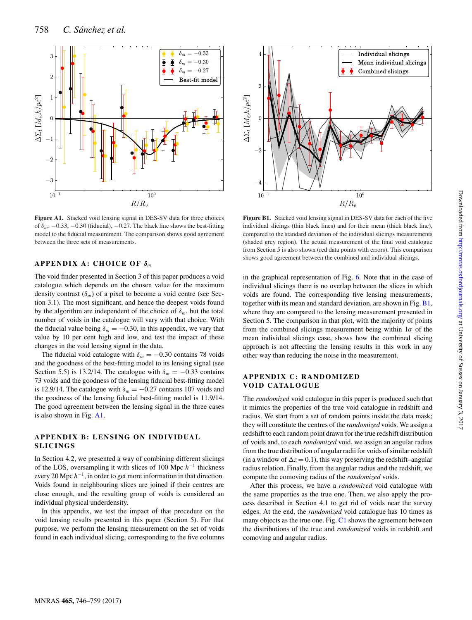<span id="page-13-42"></span>

<span id="page-13-1"></span><span id="page-13-0"></span>**Figure A1.** Stacked void lensing signal in DES-SV data for three choices of  $\delta_m$ : −0.33, −0.30 (fiducial), −0.27. The black line shows the best-fitting model to the fiducial measurement. The comparison shows good agreement between the three sets of measurements.

# <span id="page-13-3"></span><span id="page-13-2"></span>**APPENDIX A: CHOICE OF** δ*<sup>m</sup>*

<span id="page-13-6"></span><span id="page-13-5"></span><span id="page-13-4"></span>The void finder presented in Section 3 of this paper produces a void catalogue which depends on the chosen value for the maximum density contrast  $(\delta_m)$  of a pixel to become a void centre (see Section 3.1). The most significant, and hence the deepest voids found by the algorithm are independent of the choice of  $\delta_m$ , but the total number of voids in the catalogue will vary with that choice. With the fiducial value being  $\delta_m = -0.30$ , in this appendix, we vary that value by 10 per cent high and low, and test the impact of these changes in the void lensing signal in the data.

<span id="page-13-12"></span><span id="page-13-11"></span><span id="page-13-10"></span><span id="page-13-9"></span><span id="page-13-8"></span><span id="page-13-7"></span>The fiducial void catalogue with  $\delta_m = -0.30$  contains 78 voids and the goodness of the best-fitting model to its lensing signal (see Section 5.5) is 13.2/14. The catalogue with  $\delta_m = -0.33$  contains 73 voids and the goodness of the lensing fiducial best-fitting model is 12.9/14. The catalogue with  $\delta_m = -0.27$  contains 107 voids and the goodness of the lensing fiducial best-fitting model is 11.9/14. The good agreement between the lensing signal in the three cases is also shown in Fig. [A1.](#page-12-0)

# <span id="page-13-16"></span><span id="page-13-15"></span><span id="page-13-14"></span><span id="page-13-13"></span>**APPENDIX B: LENSING ON INDIVIDUAL SLICINGS**

<span id="page-13-18"></span><span id="page-13-17"></span>In Section 4.2, we presented a way of combining different slicings of the LOS, oversampling it with slices of 100 Mpc  $h$ <sup>-1</sup> thickness every 20 Mpc  $h^{-1}$ , in order to get more information in that direction. Voids found in neighbouring slices are joined if their centres are close enough, and the resulting group of voids is considered an individual physical underdensity.

<span id="page-13-22"></span><span id="page-13-21"></span><span id="page-13-20"></span><span id="page-13-19"></span>In this appendix, we test the impact of that procedure on the void lensing results presented in this paper (Section 5). For that purpose, we perform the lensing measurement on the set of voids found in each individual slicing, corresponding to the five columns



<span id="page-13-25"></span><span id="page-13-24"></span><span id="page-13-23"></span>**Figure B1.** Stacked void lensing signal in DES-SV data for each of the five individual slicings (thin black lines) and for their mean (thick black line), compared to the standard deviation of the individual slicings measurements (shaded grey region). The actual measurement of the final void catalogue from Section 5 is also shown (red data points with errors). This comparison shows good agreement between the combined and individual slicings.

<span id="page-13-30"></span><span id="page-13-29"></span><span id="page-13-28"></span><span id="page-13-27"></span><span id="page-13-26"></span>in the graphical representation of Fig. [6.](#page-5-1) Note that in the case of individual slicings there is no overlap between the slices in which voids are found. The corresponding five lensing measurements, together with its mean and standard deviation, are shown in Fig. B1, where they are compared to the lensing measurement presented in Section 5. The comparison in that plot, with the majority of points from the combined slicings measurement being within  $1\sigma$  of the mean individual slicings case, shows how the combined slicing approach is not affecting the lensing results in this work in any other way than reducing the noise in the measurement.

# <span id="page-13-34"></span><span id="page-13-33"></span><span id="page-13-32"></span><span id="page-13-31"></span>**APPENDIX C: RANDOMIZED VOID CATALOGUE**

<span id="page-13-37"></span><span id="page-13-36"></span><span id="page-13-35"></span>The *randomized* void catalogue in this paper is produced such that it mimics the properties of the true void catalogue in redshift and radius. We start from a set of random points inside the data mask; they will constitute the centres of the *randomized* voids. We assign a redshift to each random point drawn for the true redshift distribution of voids and, to each *randomized* void, we assign an angular radius from the true distribution of angular radii for voids of similar redshift (in a window of  $\Delta z = 0.1$ ), this way preserving the redshift–angular radius relation. Finally, from the angular radius and the redshift, we compute the comoving radius of the *randomized* voids.

<span id="page-13-41"></span><span id="page-13-40"></span><span id="page-13-39"></span><span id="page-13-38"></span>After this process, we have a *randomized* void catalogue with the same properties as the true one. Then, we also apply the process described in Section 4.1 to get rid of voids near the survey edges. At the end, the *randomized* void catalogue has 10 times as many objects as the true one. Fig. [C1](#page-13-42) shows the agreement between the distributions of the true and *randomized* voids in redshift and comoving and angular radius.